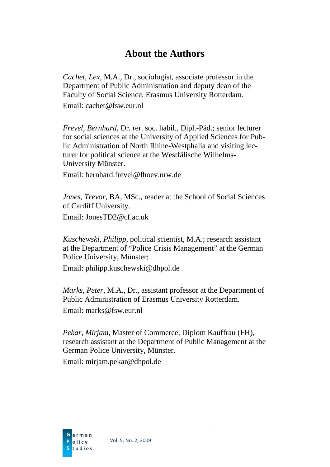## **About the Authors**

*Cachet, Lex*, M.A., Dr., sociologist, associate professor in the Department of Public Administration and deputy dean of the Faculty of Social Science, Erasmus University Rotterdam.

Email: cachet@fsw.eur.nl

*Frevel, Bernhard*, Dr. rer. soc. habil., Dipl.-Päd.; senior lecturer for social sciences at the University of Applied Sciences for Public Administration of North Rhine-Westphalia and visiting lecturer for political science at the Westfälische Wilhelms-University Münster.

Email: bernhard frevel@fhoev.nrw.de

*Jones, Trevor*, BA, MSc., reader at the School of Social Sciences of Cardiff University. Email: JonesTD2@cf.ac.uk

*Kuschewski, Philipp*, political scientist, M.A.; research assistant at the Department of "Police Crisis Management" at the German Police University, Münster;

Email: philipp.kuschewski@dhpol.de

*Marks, Peter*, M.A., Dr., assistant professor at the Department of Public Administration of Erasmus University Rotterdam. Email: marks@fsw.eur.nl

*Pekar, Mirjam*, Master of Commerce, Diplom Kauffrau (FH), research assistant at the Department of Public Management at the German Police University, Münster.

Email: mirjam.pekar@dhpol.de